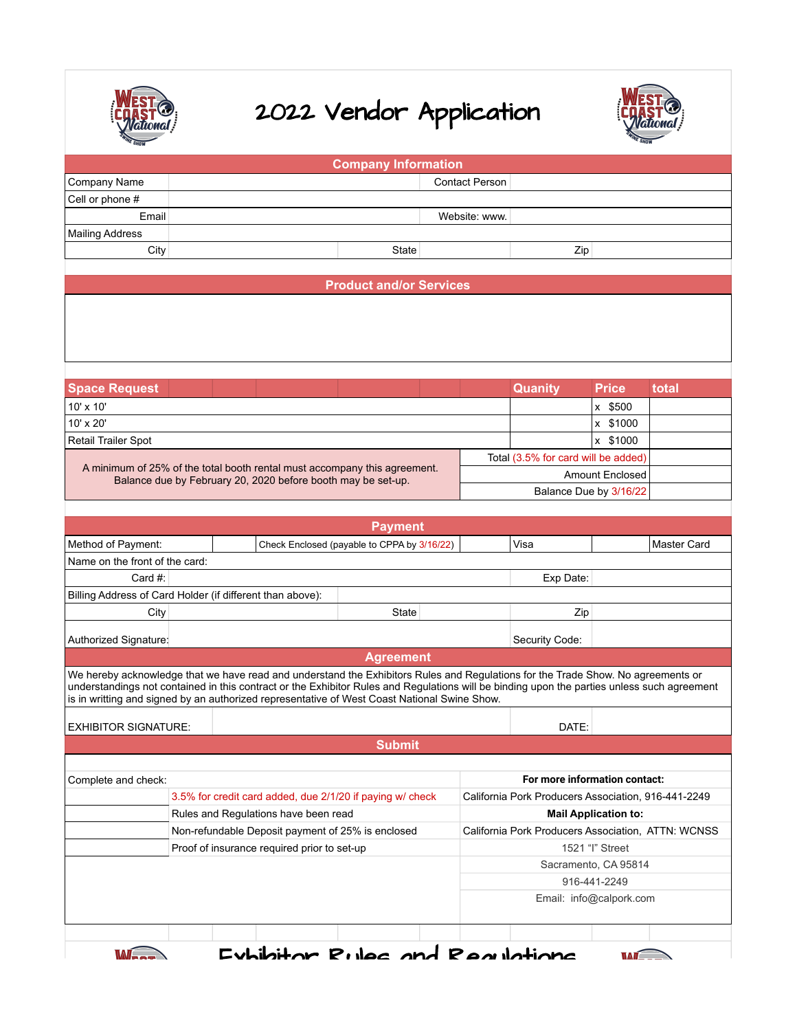

## 2022 Vendor Application



|                                                                                                                                                                                                                                                                                                                                                                                 |                                                                           | <b>Company Information</b>                          |                        |                                                        |              |                    |  |  |  |  |  |
|---------------------------------------------------------------------------------------------------------------------------------------------------------------------------------------------------------------------------------------------------------------------------------------------------------------------------------------------------------------------------------|---------------------------------------------------------------------------|-----------------------------------------------------|------------------------|--------------------------------------------------------|--------------|--------------------|--|--|--|--|--|
| Company Name                                                                                                                                                                                                                                                                                                                                                                    |                                                                           |                                                     | <b>Contact Person</b>  |                                                        |              |                    |  |  |  |  |  |
| Cell or phone #                                                                                                                                                                                                                                                                                                                                                                 |                                                                           |                                                     |                        |                                                        |              |                    |  |  |  |  |  |
| Email                                                                                                                                                                                                                                                                                                                                                                           |                                                                           |                                                     | Website: www.          |                                                        |              |                    |  |  |  |  |  |
| <b>Mailing Address</b>                                                                                                                                                                                                                                                                                                                                                          |                                                                           |                                                     |                        |                                                        |              |                    |  |  |  |  |  |
| City                                                                                                                                                                                                                                                                                                                                                                            |                                                                           | State                                               |                        | Zip                                                    |              |                    |  |  |  |  |  |
|                                                                                                                                                                                                                                                                                                                                                                                 |                                                                           |                                                     |                        |                                                        |              |                    |  |  |  |  |  |
| <b>Product and/or Services</b>                                                                                                                                                                                                                                                                                                                                                  |                                                                           |                                                     |                        |                                                        |              |                    |  |  |  |  |  |
|                                                                                                                                                                                                                                                                                                                                                                                 |                                                                           |                                                     |                        |                                                        |              |                    |  |  |  |  |  |
| <b>Space Request</b>                                                                                                                                                                                                                                                                                                                                                            |                                                                           |                                                     |                        | Quanity                                                | <b>Price</b> | total              |  |  |  |  |  |
| 10' x 10'                                                                                                                                                                                                                                                                                                                                                                       |                                                                           |                                                     |                        |                                                        | x \$500      |                    |  |  |  |  |  |
| 10' x 20'                                                                                                                                                                                                                                                                                                                                                                       |                                                                           |                                                     |                        |                                                        | x \$1000     |                    |  |  |  |  |  |
| Retail Trailer Spot                                                                                                                                                                                                                                                                                                                                                             |                                                                           |                                                     |                        |                                                        | x \$1000     |                    |  |  |  |  |  |
|                                                                                                                                                                                                                                                                                                                                                                                 |                                                                           |                                                     |                        |                                                        |              |                    |  |  |  |  |  |
|                                                                                                                                                                                                                                                                                                                                                                                 | A minimum of 25% of the total booth rental must accompany this agreement. |                                                     |                        | Total (3.5% for card will be added)<br>Amount Enclosed |              |                    |  |  |  |  |  |
|                                                                                                                                                                                                                                                                                                                                                                                 | Balance due by February 20, 2020 before booth may be set-up.              |                                                     |                        |                                                        |              |                    |  |  |  |  |  |
|                                                                                                                                                                                                                                                                                                                                                                                 |                                                                           |                                                     | Balance Due by 3/16/22 |                                                        |              |                    |  |  |  |  |  |
|                                                                                                                                                                                                                                                                                                                                                                                 |                                                                           |                                                     |                        |                                                        |              |                    |  |  |  |  |  |
|                                                                                                                                                                                                                                                                                                                                                                                 |                                                                           | <b>Payment</b>                                      |                        |                                                        |              |                    |  |  |  |  |  |
| Method of Payment:                                                                                                                                                                                                                                                                                                                                                              |                                                                           | Check Enclosed (payable to CPPA by 3/16/22)         |                        | Visa                                                   |              | <b>Master Card</b> |  |  |  |  |  |
| Name on the front of the card:                                                                                                                                                                                                                                                                                                                                                  |                                                                           |                                                     |                        |                                                        |              |                    |  |  |  |  |  |
| Card $#$ :                                                                                                                                                                                                                                                                                                                                                                      |                                                                           |                                                     | Exp Date:              |                                                        |              |                    |  |  |  |  |  |
|                                                                                                                                                                                                                                                                                                                                                                                 | Billing Address of Card Holder (if different than above):                 | State                                               |                        |                                                        |              |                    |  |  |  |  |  |
| City                                                                                                                                                                                                                                                                                                                                                                            |                                                                           | Zip                                                 |                        |                                                        |              |                    |  |  |  |  |  |
| Authorized Signature:                                                                                                                                                                                                                                                                                                                                                           |                                                                           | Security Code:                                      |                        |                                                        |              |                    |  |  |  |  |  |
| <b>Agreement</b>                                                                                                                                                                                                                                                                                                                                                                |                                                                           |                                                     |                        |                                                        |              |                    |  |  |  |  |  |
| We hereby acknowledge that we have read and understand the Exhibitors Rules and Regulations for the Trade Show. No agreements or<br>understandings not contained in this contract or the Exhibitor Rules and Regulations will be binding upon the parties unless such agreement<br>is in writting and signed by an authorized representative of West Coast National Swine Show. |                                                                           |                                                     |                        |                                                        |              |                    |  |  |  |  |  |
| <b>EXHIBITOR SIGNATURE:</b>                                                                                                                                                                                                                                                                                                                                                     |                                                                           |                                                     | DATE:                  |                                                        |              |                    |  |  |  |  |  |
| <b>Submit</b>                                                                                                                                                                                                                                                                                                                                                                   |                                                                           |                                                     |                        |                                                        |              |                    |  |  |  |  |  |
|                                                                                                                                                                                                                                                                                                                                                                                 |                                                                           |                                                     |                        |                                                        |              |                    |  |  |  |  |  |
| Complete and check:                                                                                                                                                                                                                                                                                                                                                             |                                                                           | For more information contact:                       |                        |                                                        |              |                    |  |  |  |  |  |
|                                                                                                                                                                                                                                                                                                                                                                                 | 3.5% for credit card added, due 2/1/20 if paying w/ check                 | California Pork Producers Association, 916-441-2249 |                        |                                                        |              |                    |  |  |  |  |  |
|                                                                                                                                                                                                                                                                                                                                                                                 | Rules and Regulations have been read                                      | <b>Mail Application to:</b>                         |                        |                                                        |              |                    |  |  |  |  |  |
|                                                                                                                                                                                                                                                                                                                                                                                 | Non-refundable Deposit payment of 25% is enclosed                         | California Pork Producers Association, ATTN: WCNSS  |                        |                                                        |              |                    |  |  |  |  |  |
|                                                                                                                                                                                                                                                                                                                                                                                 | Proof of insurance required prior to set-up                               | 1521 "I" Street                                     |                        |                                                        |              |                    |  |  |  |  |  |
|                                                                                                                                                                                                                                                                                                                                                                                 |                                                                           |                                                     |                        | Sacramento, CA 95814                                   |              |                    |  |  |  |  |  |
|                                                                                                                                                                                                                                                                                                                                                                                 |                                                                           | 916-441-2249                                        |                        |                                                        |              |                    |  |  |  |  |  |
|                                                                                                                                                                                                                                                                                                                                                                                 |                                                                           |                                                     |                        | Email: info@calpork.com                                |              |                    |  |  |  |  |  |
|                                                                                                                                                                                                                                                                                                                                                                                 |                                                                           |                                                     |                        |                                                        |              |                    |  |  |  |  |  |
|                                                                                                                                                                                                                                                                                                                                                                                 |                                                                           |                                                     |                        |                                                        |              |                    |  |  |  |  |  |



Exhibitor Rules and Regulations

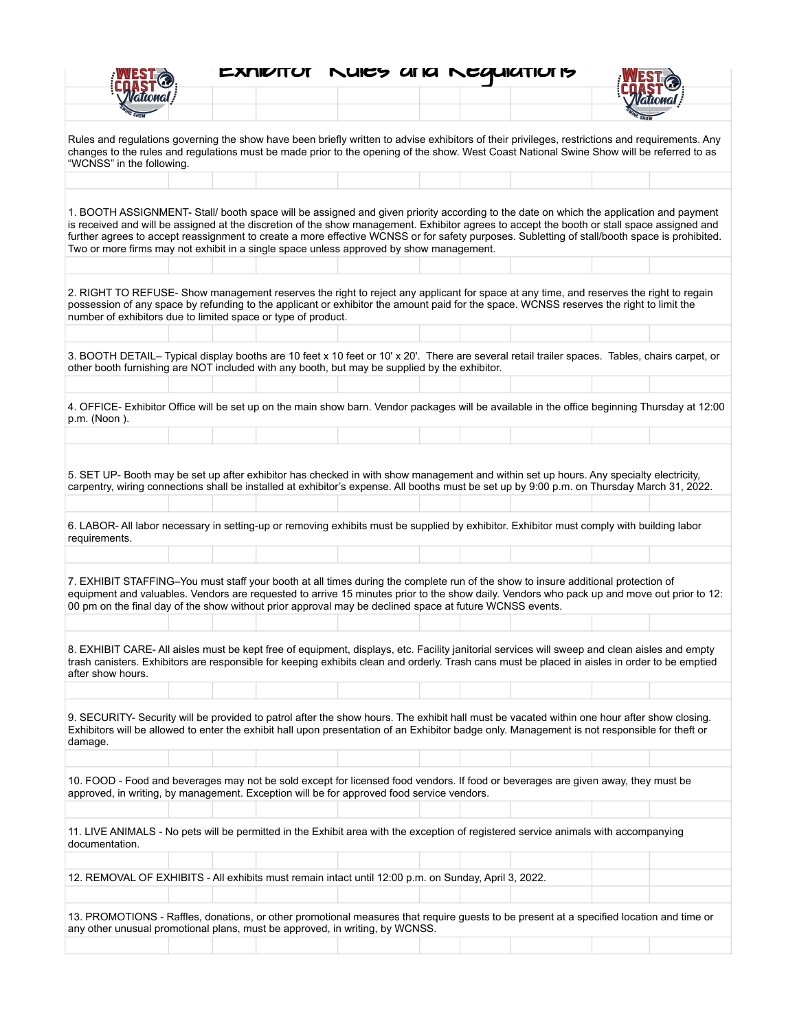|                                                                                                                                                                                                                                                                                                                                                                                                                                                                                                                                   |  |  |  | <b>EXNIVITUT NUICY UTIC NEQUICITIUTS</b> |  |  |  |  |
|-----------------------------------------------------------------------------------------------------------------------------------------------------------------------------------------------------------------------------------------------------------------------------------------------------------------------------------------------------------------------------------------------------------------------------------------------------------------------------------------------------------------------------------|--|--|--|------------------------------------------|--|--|--|--|
|                                                                                                                                                                                                                                                                                                                                                                                                                                                                                                                                   |  |  |  |                                          |  |  |  |  |
| Rules and regulations governing the show have been briefly written to advise exhibitors of their privileges, restrictions and requirements. Any<br>changes to the rules and regulations must be made prior to the opening of the show. West Coast National Swine Show will be referred to as<br>"WCNSS" in the following.                                                                                                                                                                                                         |  |  |  |                                          |  |  |  |  |
| 1. BOOTH ASSIGNMENT- Stall/ booth space will be assigned and given priority according to the date on which the application and payment<br>is received and will be assigned at the discretion of the show management. Exhibitor agrees to accept the booth or stall space assigned and<br>further agrees to accept reassignment to create a more effective WCNSS or for safety purposes. Subletting of stall/booth space is prohibited.<br>Two or more firms may not exhibit in a single space unless approved by show management. |  |  |  |                                          |  |  |  |  |
| 2. RIGHT TO REFUSE- Show management reserves the right to reject any applicant for space at any time, and reserves the right to regain<br>possession of any space by refunding to the applicant or exhibitor the amount paid for the space. WCNSS reserves the right to limit the<br>number of exhibitors due to limited space or type of product.                                                                                                                                                                                |  |  |  |                                          |  |  |  |  |
| 3. BOOTH DETAIL- Typical display booths are 10 feet x 10 feet or 10' x 20'. There are several retail trailer spaces. Tables, chairs carpet, or<br>other booth furnishing are NOT included with any booth, but may be supplied by the exhibitor.                                                                                                                                                                                                                                                                                   |  |  |  |                                          |  |  |  |  |
| 4. OFFICE- Exhibitor Office will be set up on the main show barn. Vendor packages will be available in the office beginning Thursday at 12:00<br>p.m. (Noon).                                                                                                                                                                                                                                                                                                                                                                     |  |  |  |                                          |  |  |  |  |
| 5. SET UP- Booth may be set up after exhibitor has checked in with show management and within set up hours. Any specialty electricity,<br>carpentry, wiring connections shall be installed at exhibitor's expense. All booths must be set up by 9:00 p.m. on Thursday March 31, 2022.                                                                                                                                                                                                                                             |  |  |  |                                          |  |  |  |  |
| 6. LABOR- All labor necessary in setting-up or removing exhibits must be supplied by exhibitor. Exhibitor must comply with building labor<br>requirements.                                                                                                                                                                                                                                                                                                                                                                        |  |  |  |                                          |  |  |  |  |
| 7. EXHIBIT STAFFING-You must staff your booth at all times during the complete run of the show to insure additional protection of<br>equipment and valuables. Vendors are requested to arrive 15 minutes prior to the show daily. Vendors who pack up and move out prior to 12:<br>00 pm on the final day of the show without prior approval may be declined space at future WCNSS events.                                                                                                                                        |  |  |  |                                          |  |  |  |  |
| 8. EXHIBIT CARE- All aisles must be kept free of equipment, displays, etc. Facility janitorial services will sweep and clean aisles and empty<br>trash canisters. Exhibitors are responsible for keeping exhibits clean and orderly. Trash cans must be placed in aisles in order to be emptied<br>after show hours.                                                                                                                                                                                                              |  |  |  |                                          |  |  |  |  |
| 9. SECURITY- Security will be provided to patrol after the show hours. The exhibit hall must be vacated within one hour after show closing.<br>Exhibitors will be allowed to enter the exhibit hall upon presentation of an Exhibitor badge only. Management is not responsible for theft or<br>damage.                                                                                                                                                                                                                           |  |  |  |                                          |  |  |  |  |
| 10. FOOD - Food and beverages may not be sold except for licensed food vendors. If food or beverages are given away, they must be<br>approved, in writing, by management. Exception will be for approved food service vendors.                                                                                                                                                                                                                                                                                                    |  |  |  |                                          |  |  |  |  |
| 11. LIVE ANIMALS - No pets will be permitted in the Exhibit area with the exception of registered service animals with accompanying<br>documentation.                                                                                                                                                                                                                                                                                                                                                                             |  |  |  |                                          |  |  |  |  |
| 12. REMOVAL OF EXHIBITS - All exhibits must remain intact until 12:00 p.m. on Sunday, April 3, 2022.                                                                                                                                                                                                                                                                                                                                                                                                                              |  |  |  |                                          |  |  |  |  |
| 13. PROMOTIONS - Raffles, donations, or other promotional measures that require guests to be present at a specified location and time or                                                                                                                                                                                                                                                                                                                                                                                          |  |  |  |                                          |  |  |  |  |